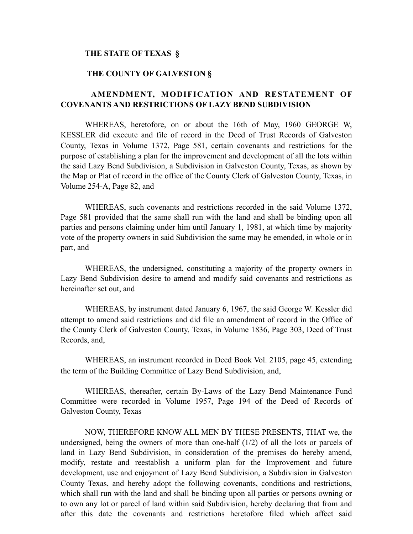### **THE STATE OF TEXAS §**

### **THE COUNTY OF GALVESTON §**

# **AMENDMENT, MODIFICATION AND RESTATEMENT OF COVENANTS AND RESTRICTIONS OF LAZY BEND SUBDIVISION**

WHEREAS, heretofore, on or about the 16th of May, 1960 GEORGE W, KESSLER did execute and file of record in the Deed of Trust Records of Galveston County, Texas in Volume 1372, Page 581, certain covenants and restrictions for the purpose of establishing a plan for the improvement and development of all the lots within the said Lazy Bend Subdivision, a Subdivision in Galveston County, Texas, as shown by the Map or Plat of record in the office of the County Clerk of Galveston County, Texas, in Volume 254-A, Page 82, and

WHEREAS, such covenants and restrictions recorded in the said Volume 1372, Page 581 provided that the same shall run with the land and shall be binding upon all parties and persons claiming under him until January 1, 1981, at which time by majority vote of the property owners in said Subdivision the same may be emended, in whole or in part, and

WHEREAS, the undersigned, constituting a majority of the property owners in Lazy Bend Subdivision desire to amend and modify said covenants and restrictions as hereinafter set out, and

WHEREAS, by instrument dated January 6, 1967, the said George W. Kessler did attempt to amend said restrictions and did file an amendment of record in the Office of the County Clerk of Galveston County, Texas, in Volume 1836, Page 303, Deed of Trust Records, and,

WHEREAS, an instrument recorded in Deed Book Vol. 2105, page 45, extending the term of the Building Committee of Lazy Bend Subdivision, and,

WHEREAS, thereafter, certain By-Laws of the Lazy Bend Maintenance Fund Committee were recorded in Volume 1957, Page 194 of the Deed of Records of Galveston County, Texas

NOW, THEREFORE KNOW ALL MEN BY THESE PRESENTS, THAT we, the undersigned, being the owners of more than one-half (1/2) of all the lots or parcels of land in Lazy Bend Subdivision, in consideration of the premises do hereby amend, modify, restate and reestablish a uniform plan for the Improvement and future development, use and enjoyment of Lazy Bend Subdivision, a Subdivision in Galveston County Texas, and hereby adopt the following covenants, conditions and restrictions, which shall run with the land and shall be binding upon all parties or persons owning or to own any lot or parcel of land within said Subdivision, hereby declaring that from and after this date the covenants and restrictions heretofore filed which affect said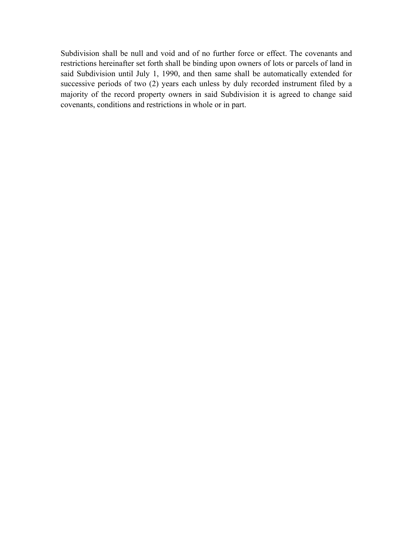Subdivision shall be null and void and of no further force or effect. The covenants and restrictions hereinafter set forth shall be binding upon owners of lots or parcels of land in said Subdivision until July 1, 1990, and then same shall be automatically extended for successive periods of two (2) years each unless by duly recorded instrument filed by a majority of the record property owners in said Subdivision it is agreed to change said covenants, conditions and restrictions in whole or in part.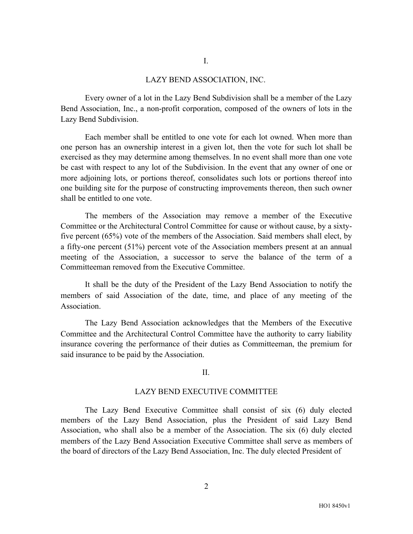### LAZY BEND ASSOCIATION, INC.

Every owner of a lot in the Lazy Bend Subdivision shall be a member of the Lazy Bend Association, Inc., a non-profit corporation, composed of the owners of lots in the Lazy Bend Subdivision.

Each member shall be entitled to one vote for each lot owned. When more than one person has an ownership interest in a given lot, then the vote for such lot shall be exercised as they may determine among themselves. In no event shall more than one vote be cast with respect to any lot of the Subdivision. In the event that any owner of one or more adjoining lots, or portions thereof, consolidates such lots or portions thereof into one building site for the purpose of constructing improvements thereon, then such owner shall be entitled to one vote.

The members of the Association may remove a member of the Executive Committee or the Architectural Control Committee for cause or without cause, by a sixtyfive percent (65%) vote of the members of the Association. Said members shall elect, by a fifty-one percent (51%) percent vote of the Association members present at an annual meeting of the Association, a successor to serve the balance of the term of a Committeeman removed from the Executive Committee.

It shall be the duty of the President of the Lazy Bend Association to notify the members of said Association of the date, time, and place of any meeting of the Association.

The Lazy Bend Association acknowledges that the Members of the Executive Committee and the Architectural Control Committee have the authority to carry liability insurance covering the performance of their duties as Committeeman, the premium for said insurance to be paid by the Association.

### $II$ .

#### LAZY BEND EXECUTIVE COMMITTEE

The Lazy Bend Executive Committee shall consist of six (6) duly elected members of the Lazy Bend Association, plus the President of said Lazy Bend Association, who shall also be a member of the Association. The six (6) duly elected members of the Lazy Bend Association Executive Committee shall serve as members of the board of directors of the Lazy Bend Association, Inc. The duly elected President of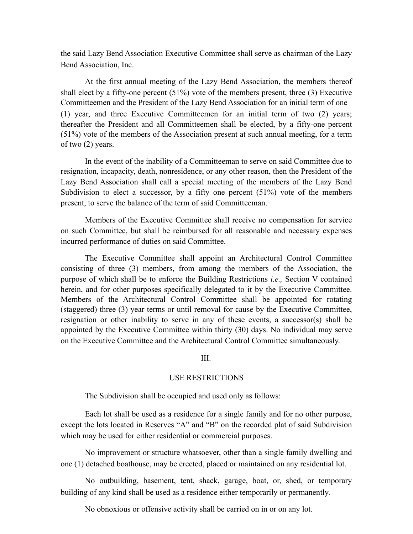the said Lazy Bend Association Executive Committee shall serve as chairman of the Lazy Bend Association, Inc.

At the first annual meeting of the Lazy Bend Association, the members thereof shall elect by a fifty-one percent (51%) vote of the members present, three (3) Executive Committeemen and the President of the Lazy Bend Association for an initial term of one (1) year, and three Executive Committeemen for an initial term of two (2) years; thereafter the President and all Committeemen shall be elected, by a fifty-one percent (51%) vote of the members of the Association present at such annual meeting, for a term of two (2) years.

In the event of the inability of a Committeeman to serve on said Committee due to resignation, incapacity, death, nonresidence, or any other reason, then the President of the Lazy Bend Association shall call a special meeting of the members of the Lazy Bend Subdivision to elect a successor, by a fifty one percent (51%) vote of the members present, to serve the balance of the term of said Committeeman.

Members of the Executive Committee shall receive no compensation for service on such Committee, but shall be reimbursed for all reasonable and necessary expenses incurred performance of duties on said Committee.

The Executive Committee shall appoint an Architectural Control Committee consisting of three (3) members, from among the members of the Association, the purpose of which shall be to enforce the Building Restrictions *i.e.,* Section V contained herein, and for other purposes specifically delegated to it by the Executive Committee. Members of the Architectural Control Committee shall be appointed for rotating (staggered) three (3) year terms or until removal for cause by the Executive Committee, resignation or other inability to serve in any of these events, a successor(s) shall be appointed by the Executive Committee within thirty (30) days. No individual may serve on the Executive Committee and the Architectural Control Committee simultaneously.

III.

### USE RESTRICTIONS

The Subdivision shall be occupied and used only as follows:

Each lot shall be used as a residence for a single family and for no other purpose, except the lots located in Reserves "A" and "B" on the recorded plat of said Subdivision which may be used for either residential or commercial purposes.

No improvement or structure whatsoever, other than a single family dwelling and one (1) detached boathouse, may be erected, placed or maintained on any residential lot.

No outbuilding, basement, tent, shack, garage, boat, or, shed, or temporary building of any kind shall be used as a residence either temporarily or permanently.

No obnoxious or offensive activity shall be carried on in or on any lot.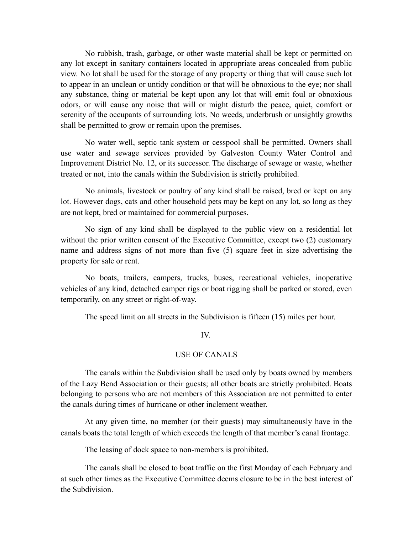No rubbish, trash, garbage, or other waste material shall be kept or permitted on any lot except in sanitary containers located in appropriate areas concealed from public view. No lot shall be used for the storage of any property or thing that will cause such lot to appear in an unclean or untidy condition or that will be obnoxious to the eye; nor shall any substance, thing or material be kept upon any lot that will emit foul or obnoxious odors, or will cause any noise that will or might disturb the peace, quiet, comfort or serenity of the occupants of surrounding lots. No weeds, underbrush or unsightly growths shall be permitted to grow or remain upon the premises.

No water well, septic tank system or cesspool shall be permitted. Owners shall use water and sewage services provided by Galveston County Water Control and Improvement District No. 12, or its successor. The discharge of sewage or waste, whether treated or not, into the canals within the Subdivision is strictly prohibited.

No animals, livestock or poultry of any kind shall be raised, bred or kept on any lot. However dogs, cats and other household pets may be kept on any lot, so long as they are not kept, bred or maintained for commercial purposes.

No sign of any kind shall be displayed to the public view on a residential lot without the prior written consent of the Executive Committee, except two (2) customary name and address signs of not more than five (5) square feet in size advertising the property for sale or rent.

No boats, trailers, campers, trucks, buses, recreational vehicles, inoperative vehicles of any kind, detached camper rigs or boat rigging shall be parked or stored, even temporarily, on any street or right-of-way.

The speed limit on all streets in the Subdivision is fifteen (15) miles per hour.

### IV.

### USE OF CANALS

The canals within the Subdivision shall be used only by boats owned by members of the Lazy Bend Association or their guests; all other boats are strictly prohibited. Boats belonging to persons who are not members of this Association are not permitted to enter the canals during times of hurricane or other inclement weather.

At any given time, no member (or their guests) may simultaneously have in the canals boats the total length of which exceeds the length of that member's canal frontage.

The leasing of dock space to non-members is prohibited.

The canals shall be closed to boat traffic on the first Monday of each February and at such other times as the Executive Committee deems closure to be in the best interest of the Subdivision.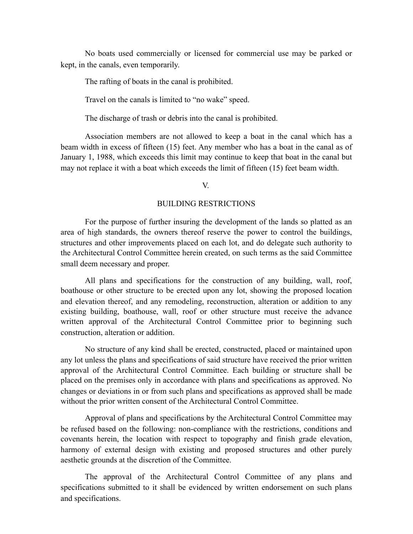No boats used commercially or licensed for commercial use may be parked or kept, in the canals, even temporarily.

The rafting of boats in the canal is prohibited.

Travel on the canals is limited to "no wake" speed.

The discharge of trash or debris into the canal is prohibited.

Association members are not allowed to keep a boat in the canal which has a beam width in excess of fifteen (15) feet. Any member who has a boat in the canal as of January 1, 1988, which exceeds this limit may continue to keep that boat in the canal but may not replace it with a boat which exceeds the limit of fifteen (15) feet beam width.

V.

### BUILDING RESTRICTIONS

For the purpose of further insuring the development of the lands so platted as an area of high standards, the owners thereof reserve the power to control the buildings, structures and other improvements placed on each lot, and do delegate such authority to the Architectural Control Committee herein created, on such terms as the said Committee small deem necessary and proper.

All plans and specifications for the construction of any building, wall, roof, boathouse or other structure to be erected upon any lot, showing the proposed location and elevation thereof, and any remodeling, reconstruction, alteration or addition to any existing building, boathouse, wall, roof or other structure must receive the advance written approval of the Architectural Control Committee prior to beginning such construction, alteration or addition.

No structure of any kind shall be erected, constructed, placed or maintained upon any lot unless the plans and specifications of said structure have received the prior written approval of the Architectural Control Committee. Each building or structure shall be placed on the premises only in accordance with plans and specifications as approved. No changes or deviations in or from such plans and specifications as approved shall be made without the prior written consent of the Architectural Control Committee.

Approval of plans and specifications by the Architectural Control Committee may be refused based on the following: non-compliance with the restrictions, conditions and covenants herein, the location with respect to topography and finish grade elevation, harmony of external design with existing and proposed structures and other purely aesthetic grounds at the discretion of the Committee.

The approval of the Architectural Control Committee of any plans and specifications submitted to it shall be evidenced by written endorsement on such plans and specifications.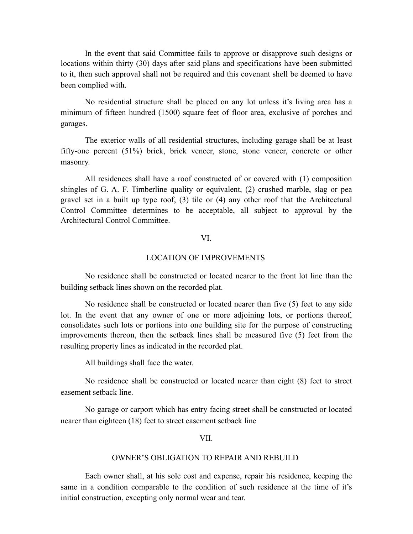In the event that said Committee fails to approve or disapprove such designs or locations within thirty (30) days after said plans and specifications have been submitted to it, then such approval shall not be required and this covenant shell be deemed to have been complied with.

No residential structure shall be placed on any lot unless it's living area has a minimum of fifteen hundred (1500) square feet of floor area, exclusive of porches and garages.

The exterior walls of all residential structures, including garage shall be at least fifty-one percent (51%) brick, brick veneer, stone, stone veneer, concrete or other masonry.

All residences shall have a roof constructed of or covered with (1) composition shingles of G. A. F. Timberline quality or equivalent, (2) crushed marble, slag or pea gravel set in a built up type roof, (3) tile or (4) any other roof that the Architectural Control Committee determines to be acceptable, all subject to approval by the Architectural Control Committee.

## VI.

## LOCATION OF IMPROVEMENTS

No residence shall be constructed or located nearer to the front lot line than the building setback lines shown on the recorded plat.

No residence shall be constructed or located nearer than five (5) feet to any side lot. In the event that any owner of one or more adjoining lots, or portions thereof, consolidates such lots or portions into one building site for the purpose of constructing improvements thereon, then the setback lines shall be measured five (5) feet from the resulting property lines as indicated in the recorded plat.

All buildings shall face the water.

No residence shall be constructed or located nearer than eight (8) feet to street easement setback line.

No garage or carport which has entry facing street shall be constructed or located nearer than eighteen (18) feet to street easement setback line

VII.

#### OWNER'S OBLIGATION TO REPAIR AND REBUILD

Each owner shall, at his sole cost and expense, repair his residence, keeping the same in a condition comparable to the condition of such residence at the time of it's initial construction, excepting only normal wear and tear.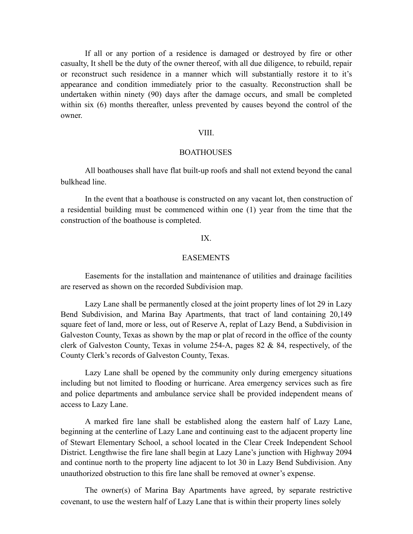If all or any portion of a residence is damaged or destroyed by fire or other casualty, It shell be the duty of the owner thereof, with all due diligence, to rebuild, repair or reconstruct such residence in a manner which will substantially restore it to it's appearance and condition immediately prior to the casualty. Reconstruction shall be undertaken within ninety (90) days after the damage occurs, and small be completed within six (6) months thereafter, unless prevented by causes beyond the control of the owner.

### VIII.

## **BOATHOUSES**

All boathouses shall have flat built-up roofs and shall not extend beyond the canal bulkhead line.

In the event that a boathouse is constructed on any vacant lot, then construction of a residential building must be commenced within one (1) year from the time that the construction of the boathouse is completed.

### IX.

# EASEMENTS

Easements for the installation and maintenance of utilities and drainage facilities are reserved as shown on the recorded Subdivision map.

Lazy Lane shall be permanently closed at the joint property lines of lot 29 in Lazy Bend Subdivision, and Marina Bay Apartments, that tract of land containing 20,149 square feet of land, more or less, out of Reserve A, replat of Lazy Bend, a Subdivision in Galveston County, Texas as shown by the map or plat of record in the office of the county clerk of Galveston County, Texas in volume 254-A, pages 82 & 84, respectively, of the County Clerk's records of Galveston County, Texas.

Lazy Lane shall be opened by the community only during emergency situations including but not limited to flooding or hurricane. Area emergency services such as fire and police departments and ambulance service shall be provided independent means of access to Lazy Lane.

A marked fire lane shall be established along the eastern half of Lazy Lane, beginning at the centerline of Lazy Lane and continuing east to the adjacent property line of Stewart Elementary School, a school located in the Clear Creek Independent School District. Lengthwise the fire lane shall begin at Lazy Lane's junction with Highway 2094 and continue north to the property line adjacent to lot 30 in Lazy Bend Subdivision. Any unauthorized obstruction to this fire lane shall be removed at owner's expense.

The owner(s) of Marina Bay Apartments have agreed, by separate restrictive covenant, to use the western half of Lazy Lane that is within their property lines solely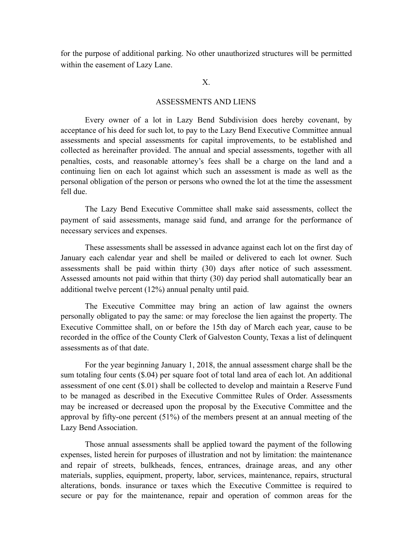for the purpose of additional parking. No other unauthorized structures will be permitted within the easement of Lazy Lane.

X.

### ASSESSMENTS AND LIENS

Every owner of a lot in Lazy Bend Subdivision does hereby covenant, by acceptance of his deed for such lot, to pay to the Lazy Bend Executive Committee annual assessments and special assessments for capital improvements, to be established and collected as hereinafter provided. The annual and special assessments, together with all penalties, costs, and reasonable attorney's fees shall be a charge on the land and a continuing lien on each lot against which such an assessment is made as well as the personal obligation of the person or persons who owned the lot at the time the assessment fell due.

The Lazy Bend Executive Committee shall make said assessments, collect the payment of said assessments, manage said fund, and arrange for the performance of necessary services and expenses.

These assessments shall be assessed in advance against each lot on the first day of January each calendar year and shell be mailed or delivered to each lot owner. Such assessments shall be paid within thirty (30) days after notice of such assessment. Assessed amounts not paid within that thirty (30) day period shall automatically bear an additional twelve percent (12%) annual penalty until paid.

The Executive Committee may bring an action of law against the owners personally obligated to pay the same: or may foreclose the lien against the property. The Executive Committee shall, on or before the 15th day of March each year, cause to be recorded in the office of the County Clerk of Galveston County, Texas a list of delinquent assessments as of that date.

For the year beginning January 1, 2018, the annual assessment charge shall be the sum totaling four cents (\$.04) per square foot of total land area of each lot. An additional assessment of one cent (\$.01) shall be collected to develop and maintain a Reserve Fund to be managed as described in the Executive Committee Rules of Order. Assessments may be increased or decreased upon the proposal by the Executive Committee and the approval by fifty-one percent (51%) of the members present at an annual meeting of the Lazy Bend Association.

Those annual assessments shall be applied toward the payment of the following expenses, listed herein for purposes of illustration and not by limitation: the maintenance and repair of streets, bulkheads, fences, entrances, drainage areas, and any other materials, supplies, equipment, property, labor, services, maintenance, repairs, structural alterations, bonds. insurance or taxes which the Executive Committee is required to secure or pay for the maintenance, repair and operation of common areas for the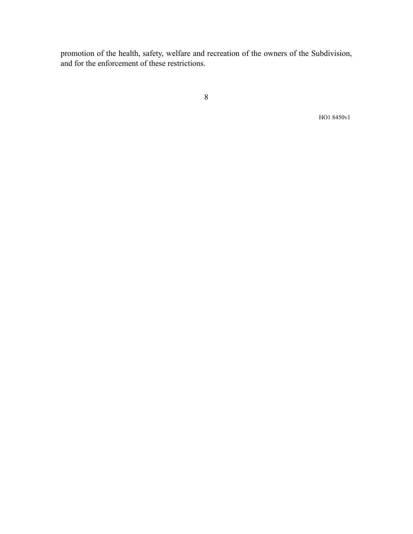promotion of the health, safety, welfare and recreation of the owners of the Subdivision, and for the enforcement of these restrictions.

8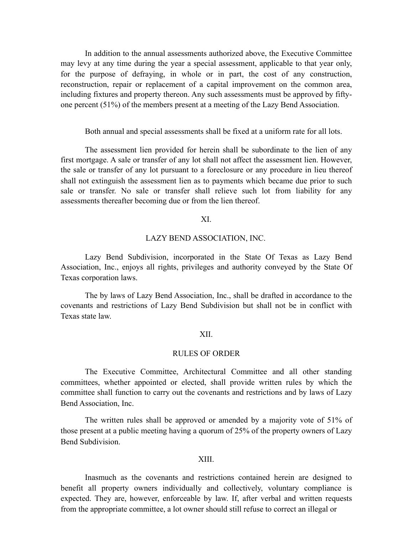In addition to the annual assessments authorized above, the Executive Committee may levy at any time during the year a special assessment, applicable to that year only, for the purpose of defraying, in whole or in part, the cost of any construction, reconstruction, repair or replacement of a capital improvement on the common area, including fixtures and property thereon. Any such assessments must be approved by fiftyone percent (51%) of the members present at a meeting of the Lazy Bend Association.

### Both annual and special assessments shall be fixed at a uniform rate for all lots.

The assessment lien provided for herein shall be subordinate to the lien of any first mortgage. A sale or transfer of any lot shall not affect the assessment lien. However, the sale or transfer of any lot pursuant to a foreclosure or any procedure in lieu thereof shall not extinguish the assessment lien as to payments which became due prior to such sale or transfer. No sale or transfer shall relieve such lot from liability for any assessments thereafter becoming due or from the lien thereof.

### XI.

### LAZY BEND ASSOCIATION, INC.

Lazy Bend Subdivision, incorporated in the State Of Texas as Lazy Bend Association, Inc., enjoys all rights, privileges and authority conveyed by the State Of Texas corporation laws.

The by laws of Lazy Bend Association, Inc., shall be drafted in accordance to the covenants and restrictions of Lazy Bend Subdivision but shall not be in conflict with Texas state law.

## XII.

### RULES OF ORDER

The Executive Committee, Architectural Committee and all other standing committees, whether appointed or elected, shall provide written rules by which the committee shall function to carry out the covenants and restrictions and by laws of Lazy Bend Association, Inc.

The written rules shall be approved or amended by a majority vote of 51% of those present at a public meeting having a quorum of 25% of the property owners of Lazy Bend Subdivision.

#### XIII.

Inasmuch as the covenants and restrictions contained herein are designed to benefit all property owners individually and collectively, voluntary compliance is expected. They are, however, enforceable by law. If, after verbal and written requests from the appropriate committee, a lot owner should still refuse to correct an illegal or